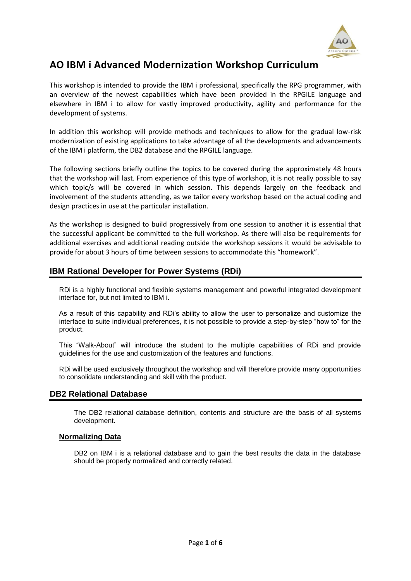

# **AO IBM i Advanced Modernization Workshop Curriculum**

This workshop is intended to provide the IBM i professional, specifically the RPG programmer, with an overview of the newest capabilities which have been provided in the RPGILE language and elsewhere in IBM i to allow for vastly improved productivity, agility and performance for the development of systems.

In addition this workshop will provide methods and techniques to allow for the gradual low-risk modernization of existing applications to take advantage of all the developments and advancements of the IBM i platform, the DB2 database and the RPGILE language.

The following sections briefly outline the topics to be covered during the approximately 48 hours that the workshop will last. From experience of this type of workshop, it is not really possible to say which topic/s will be covered in which session. This depends largely on the feedback and involvement of the students attending, as we tailor every workshop based on the actual coding and design practices in use at the particular installation.

As the workshop is designed to build progressively from one session to another it is essential that the successful applicant be committed to the full workshop. As there will also be requirements for additional exercises and additional reading outside the workshop sessions it would be advisable to provide for about 3 hours of time between sessions to accommodate this "homework".

## **IBM Rational Developer for Power Systems (RDi)**

RDi is a highly functional and flexible systems management and powerful integrated development interface for, but not limited to IBM i.

As a result of this capability and RDi's ability to allow the user to personalize and customize the interface to suite individual preferences, it is not possible to provide a step-by-step "how to" for the product.

This "Walk-About" will introduce the student to the multiple capabilities of RDi and provide guidelines for the use and customization of the features and functions.

RDi will be used exclusively throughout the workshop and will therefore provide many opportunities to consolidate understanding and skill with the product.

## **DB2 Relational Database**

The DB2 relational database definition, contents and structure are the basis of all systems development.

## **Normalizing Data**

DB2 on IBM i is a relational database and to gain the best results the data in the database should be properly normalized and correctly related.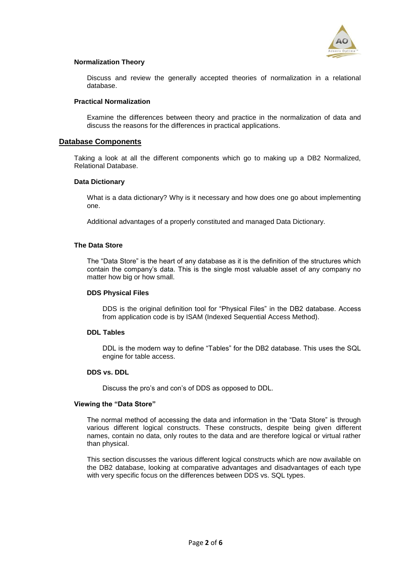

#### **Normalization Theory**

Discuss and review the generally accepted theories of normalization in a relational database.

#### **Practical Normalization**

Examine the differences between theory and practice in the normalization of data and discuss the reasons for the differences in practical applications.

### **Database Components**

Taking a look at all the different components which go to making up a DB2 Normalized, Relational Database.

#### **Data Dictionary**

What is a data dictionary? Why is it necessary and how does one go about implementing one.

Additional advantages of a properly constituted and managed Data Dictionary.

### **The Data Store**

The "Data Store" is the heart of any database as it is the definition of the structures which contain the company's data. This is the single most valuable asset of any company no matter how big or how small.

#### **DDS Physical Files**

DDS is the original definition tool for "Physical Files" in the DB2 database. Access from application code is by ISAM (Indexed Sequential Access Method).

## **DDL Tables**

DDL is the modern way to define "Tables" for the DB2 database. This uses the SQL engine for table access.

#### **DDS vs. DDL**

Discuss the pro's and con's of DDS as opposed to DDL.

#### **Viewing the "Data Store"**

The normal method of accessing the data and information in the "Data Store" is through various different logical constructs. These constructs, despite being given different names, contain no data, only routes to the data and are therefore logical or virtual rather than physical.

This section discusses the various different logical constructs which are now available on the DB2 database, looking at comparative advantages and disadvantages of each type with very specific focus on the differences between DDS vs. SQL types.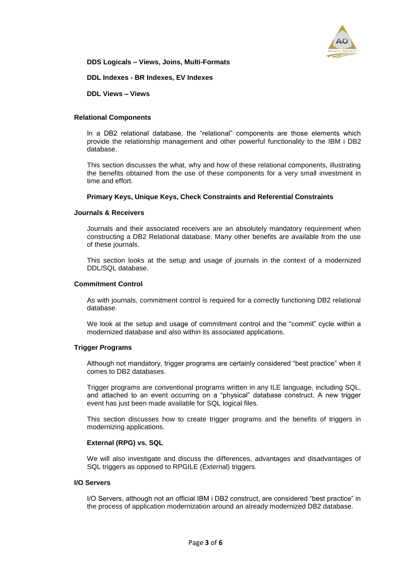

**DDS Logicals – Views, Joins, Multi-Formats**

**DDL Indexes - BR Indexes, EV Indexes**

**DDL Views – Views**

#### **Relational Components**

In a DB2 relational database, the "relational" components are those elements which provide the relationship management and other powerful functionality to the IBM i DB2 database.

This section discusses the what, why and how of these relational components, illustrating the benefits obtained from the use of these components for a very small investment in time and effort.

#### **Primary Keys, Unique Keys, Check Constraints and Referential Constraints**

#### **Journals & Receivers**

Journals and their associated receivers are an absolutely mandatory requirement when constructing a DB2 Relational database. Many other benefits are available from the use of these journals.

This section looks at the setup and usage of journals in the context of a modernized DDL/SQL database.

#### **Commitment Control**

As with journals, commitment control is required for a correctly functioning DB2 relational database.

We look at the setup and usage of commitment control and the "commit" cycle within a modernized database and also within its associated applications.

#### **Trigger Programs**

Although not mandatory, trigger programs are certainly considered "best practice" when it comes to DB2 databases.

Trigger programs are conventional programs written in any ILE language, including SQL, and attached to an event occurring on a "physical" database construct. A new trigger event has just been made available for SQL logical files.

This section discusses how to create trigger programs and the benefits of triggers in modernizing applications.

#### **External (RPG) vs. SQL**

We will also investigate and discuss the differences, advantages and disadvantages of SQL triggers as opposed to RPGILE (External) triggers.

#### **I/O Servers**

I/O Servers, although not an official IBM i DB2 construct, are considered "best practice" in the process of application modernization around an already modernized DB2 database.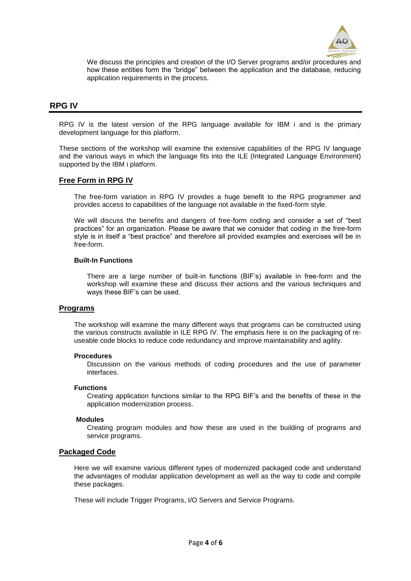

We discuss the principles and creation of the I/O Server programs and/or procedures and how these entities form the "bridge" between the application and the database, reducing application requirements in the process.

## **RPG IV**

RPG IV is the latest version of the RPG language available for IBM i and is the primary development language for this platform.

These sections of the workshop will examine the extensive capabilities of the RPG IV language and the various ways in which the language fits into the ILE (Integrated Language Environment) supported by the IBM i platform.

## **Free Form in RPG IV**

The free-form variation in RPG IV provides a huge benefit to the RPG programmer and provides access to capabilities of the language not available in the fixed-form style.

We will discuss the benefits and dangers of free-form coding and consider a set of "best practices" for an organization. Please be aware that we consider that coding in the free-form style is in itself a "best practice" and therefore all provided examples and exercises will be in free-form.

#### **Built-In Functions**

There are a large number of built-in functions (BIF's) available in free-form and the workshop will examine these and discuss their actions and the various techniques and ways these BIF's can be used.

## **Programs**

The workshop will examine the many different ways that programs can be constructed using the various constructs available in ILE RPG IV. The emphasis here is on the packaging of reuseable code blocks to reduce code redundancy and improve maintainability and agility.

#### **Procedures**

Discussion on the various methods of coding procedures and the use of parameter interfaces.

#### **Functions**

Creating application functions similar to the RPG BIF's and the benefits of these in the application modernization process.

#### **Modules**

Creating program modules and how these are used in the building of programs and service programs.

## **Packaged Code**

Here we will examine various different types of modernized packaged code and understand the advantages of modular application development as well as the way to code and compile these packages.

These will include Trigger Programs, I/O Servers and Service Programs.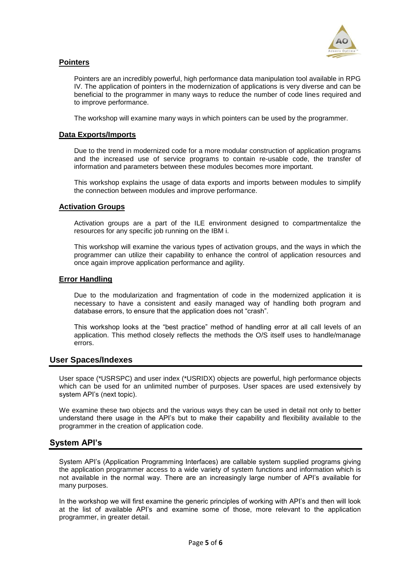

## **Pointers**

Pointers are an incredibly powerful, high performance data manipulation tool available in RPG IV. The application of pointers in the modernization of applications is very diverse and can be beneficial to the programmer in many ways to reduce the number of code lines required and to improve performance.

The workshop will examine many ways in which pointers can be used by the programmer.

## **Data Exports/Imports**

Due to the trend in modernized code for a more modular construction of application programs and the increased use of service programs to contain re-usable code, the transfer of information and parameters between these modules becomes more important.

This workshop explains the usage of data exports and imports between modules to simplify the connection between modules and improve performance.

### **Activation Groups**

Activation groups are a part of the ILE environment designed to compartmentalize the resources for any specific job running on the IBM i.

This workshop will examine the various types of activation groups, and the ways in which the programmer can utilize their capability to enhance the control of application resources and once again improve application performance and agility.

### **Error Handling**

Due to the modularization and fragmentation of code in the modernized application it is necessary to have a consistent and easily managed way of handling both program and database errors, to ensure that the application does not "crash".

This workshop looks at the "best practice" method of handling error at all call levels of an application. This method closely reflects the methods the O/S itself uses to handle/manage errors.

## **User Spaces/Indexes**

User space (\*USRSPC) and user index (\*USRIDX) objects are powerful, high performance objects which can be used for an unlimited number of purposes. User spaces are used extensively by system API's (next topic).

We examine these two objects and the various ways they can be used in detail not only to better understand there usage in the API's but to make their capability and flexibility available to the programmer in the creation of application code.

## **System API's**

System API's (Application Programming Interfaces) are callable system supplied programs giving the application programmer access to a wide variety of system functions and information which is not available in the normal way. There are an increasingly large number of API's available for many purposes.

In the workshop we will first examine the generic principles of working with API's and then will look at the list of available API's and examine some of those, more relevant to the application programmer, in greater detail.